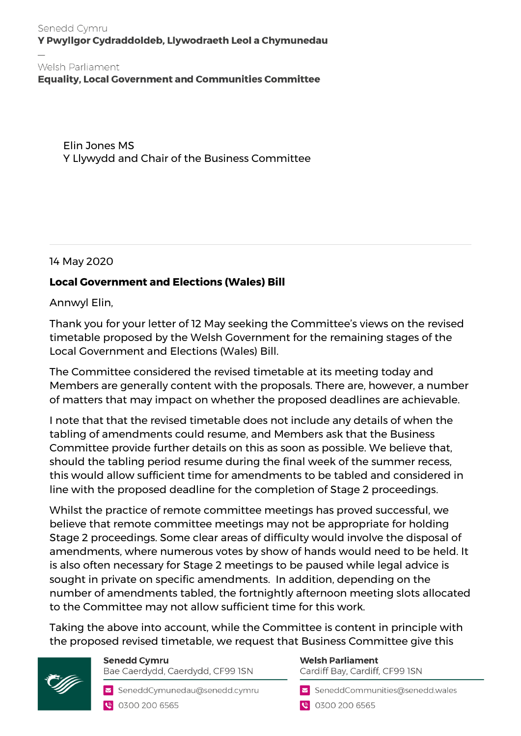## Senedd Cymru Y Pwyllgor Cydraddoldeb, Llywodraeth Leol a Chymunedau

**Equality, Local Government and Communities Committee** 

Elin Jones MS Y Llywydd and Chair of the Business Committee

14 May 2020

## **Local Government and Elections (Wales) Bill**

Annwyl Elin,

Thank you for your letter of 12 May seeking the Committee's views on the revised timetable proposed by the Welsh Government for the remaining stages of the Local Government and Elections (Wales) Bill.

The Committee considered the revised timetable at its meeting today and Members are generally content with the proposals. There are, however, a number of matters that may impact on whether the proposed deadlines are achievable.

I note that that the revised timetable does not include any details of when the tabling of amendments could resume, and Members ask that the Business Committee provide further details on this as soon as possible. We believe that, should the tabling period resume during the final week of the summer recess, this would allow sufficient time for amendments to be tabled and considered in line with the proposed deadline for the completion of Stage 2 proceedings.

Whilst the practice of remote committee meetings has proved successful, we believe that remote committee meetings may not be appropriate for holding Stage 2 proceedings. Some clear areas of difficulty would involve the disposal of amendments, where numerous votes by show of hands would need to be held. It is also often necessary for Stage 2 meetings to be paused while legal advice is sought in private on specific amendments. In addition, depending on the number of amendments tabled, the fortnightly afternoon meeting slots allocated to the Committee may not allow sufficient time for this work.

Taking the above into account, while the Committee is content in principle with the proposed revised timetable, we request that Business Committee give this





SeneddCymunedau@senedd.cymru ● 0300 200 6565

## **Welsh Parliament** Cardiff Bay, Cardiff, CF99 ISN

SeneddCommunities@senedd.wales

● 0300 200 6565